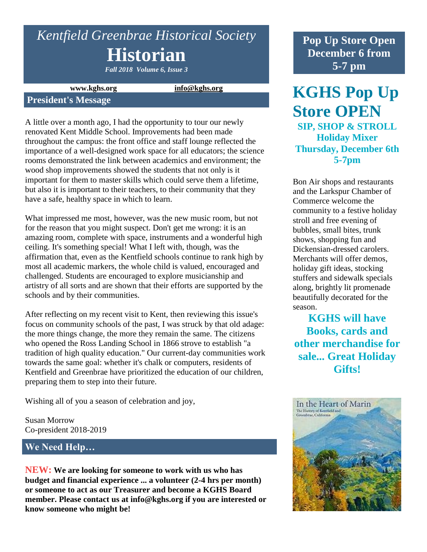# *Kentfield Greenbrae Historical Society* **Historian**

*Fall 2018 Volume 6, Issue 3*

**www.kghs.org [info@kghs.org](mailto:info@kghs.org)**

#### **President's Message**

A little over a month ago, I had the opportunity to tour our newly renovated Kent Middle School. Improvements had been made throughout the campus: the front office and staff lounge reflected the importance of a well-designed work space for all educators; the science rooms demonstrated the link between academics and environment; the wood shop improvements showed the students that not only is it important for them to master skills which could serve them a lifetime, but also it is important to their teachers, to their community that they have a safe, healthy space in which to learn.

What impressed me most, however, was the new music room, but not for the reason that you might suspect. Don't get me wrong: it is an amazing room, complete with space, instruments and a wonderful high ceiling. It's something special! What I left with, though, was the affirmation that, even as the Kentfield schools continue to rank high by most all academic markers, the whole child is valued, encouraged and challenged. Students are encouraged to explore musicianship and artistry of all sorts and are shown that their efforts are supported by the schools and by their communities.

After reflecting on my recent visit to Kent, then reviewing this issue's focus on community schools of the past, I was struck by that old adage: the more things change, the more they remain the same. The citizens who opened the Ross Landing School in 1866 strove to establish "a tradition of high quality education." Our current-day communities work towards the same goal: whether it's chalk or computers, residents of Kentfield and Greenbrae have prioritized the education of our children, preparing them to step into their future.

Wishing all of you a season of celebration and joy,

Susan Morrow Co-president 2018-2019

## **We Need Help…**

**NEW: We are looking for someone to work with us who has budget and financial experience ... a volunteer (2-4 hrs per month) or someone to act as our Treasurer and become a KGHS Board member. Please contact us at info@kghs.org if you are interested or know someone who might be!**

**Pop Up Store Open December 6 from 5-7 pm**

**KGHS Pop Up Store OPEN SIP, SHOP & STROLL Holiday Mixer Thursday, December 6th 5-7pm**

Bon Air shops and restaurants and the Larkspur Chamber of Commerce welcome the community to a festive holiday stroll and free evening of bubbles, small bites, trunk shows, shopping fun and Dickensian-dressed carolers. Merchants will offer demos, holiday gift ideas, stocking stuffers and sidewalk specials along, brightly lit promenade beautifully decorated for the season.

**KGHS will have Books, cards and other merchandise for sale... Great Holiday Gifts!**

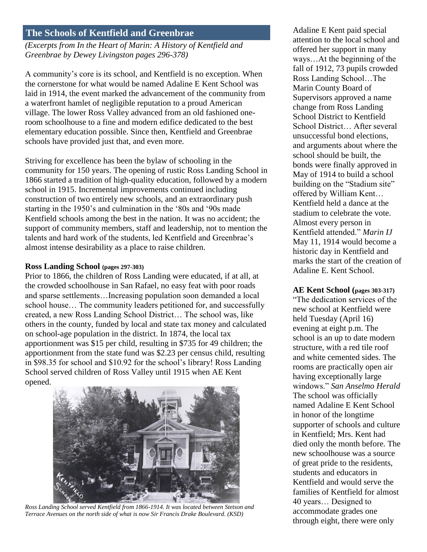## **The Schools of Kentfield and Greenbrae**

*(Excerpts from In the Heart of Marin: A History of Kentfield and Greenbrae by Dewey Livingston pages 296-378)*

A community's core is its school, and Kentfield is no exception. When the cornerstone for what would be named Adaline E Kent School was laid in 1914, the event marked the advancement of the community from a waterfront hamlet of negligible reputation to a proud American village. The lower Ross Valley advanced from an old fashioned oneroom schoolhouse to a fine and modern edifice dedicated to the best elementary education possible. Since then, Kentfield and Greenbrae schools have provided just that, and even more.

Striving for excellence has been the bylaw of schooling in the community for 150 years. The opening of rustic Ross Landing School in 1866 started a tradition of high-quality education, followed by a modern school in 1915. Incremental improvements continued including construction of two entirely new schools, and an extraordinary push starting in the 1950's and culmination in the '80s and '90s made Kentfield schools among the best in the nation. It was no accident; the support of community members, staff and leadership, not to mention the talents and hard work of the students, led Kentfield and Greenbrae's almost intense desirability as a place to raise children.

#### **Ross Landing School (pages 297-303)**

Prior to 1866, the children of Ross Landing were educated, if at all, at the crowded schoolhouse in San Rafael, no easy feat with poor roads and sparse settlements…Increasing population soon demanded a local school house… The community leaders petitioned for, and successfully created, a new Ross Landing School District… The school was, like others in the county, funded by local and state tax money and calculated on school-age population in the district. In 1874, the local tax apportionment was \$15 per child, resulting in \$735 for 49 children; the apportionment from the state fund was \$2.23 per census child, resulting in \$98.35 for school and \$10.92 for the school's library! Ross Landing School served children of Ross Valley until 1915 when AE Kent opened.



*Ross Landing School served Kentfield from 1866-1914. It was located between Stetson and Terrace Avenues on the north side of what is now Sir Francis Drake Boulevard. (KSD)*

Adaline E Kent paid special attention to the local school and offered her support in many ways…At the beginning of the fall of 1912, 73 pupils crowded Ross Landing School…The Marin County Board of Supervisors approved a name change from Ross Landing School District to Kentfield School District… After several unsuccessful bond elections, and arguments about where the school should be built, the bonds were finally approved in May of 1914 to build a school building on the "Stadium site" offered by William Kent… Kentfield held a dance at the stadium to celebrate the vote. Almost every person in Kentfield attended." *Marin IJ* May 11, 1914 would become a historic day in Kentfield and marks the start of the creation of Adaline E. Kent School.

#### **AE Kent School (pages 303-317)**

"The dedication services of the new school at Kentfield were held Tuesday (April 16) evening at eight p.m. The school is an up to date modern structure, with a red tile roof and white cemented sides. The rooms are practically open air having exceptionally large windows." *San Anselmo Herald* The school was officially named Adaline E Kent School in honor of the longtime supporter of schools and culture in Kentfield; Mrs. Kent had died only the month before. The new schoolhouse was a source of great pride to the residents, students and educators in Kentfield and would serve the families of Kentfield for almost 40 years… Designed to accommodate grades one through eight, there were only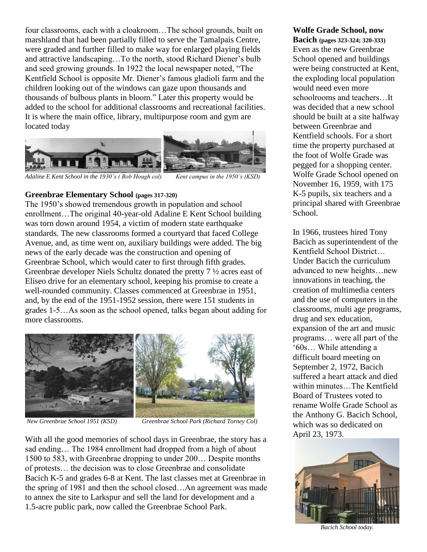four classrooms, each with a cloakroom…The school grounds, built on marshland that had been partially filled to serve the Tamalpais Centre, were graded and further filled to make way for enlarged playing fields and attractive landscaping…To the north, stood Richard Diener's bulb and seed growing grounds. In 1922 the local newspaper noted, "The Kentfield School is opposite Mr. Diener's famous gladioli farm and the children looking out of the windows can gaze upon thousands and thousands of bulbous plants in bloom." Later this property would be added to the school for additional classrooms and recreational facilities. It is where the main office, library, multipurpose room and gym are located today



*Adaline E Kent School in the 1930's ( Bob Hough col) Kent campus in the 1950's (KSD)*

**Greenbrae Elementary School (pages 317-320)**

The 1950's showed tremendous growth in population and school enrollment…The original 40-year-old Adaline E Kent School building was torn down around 1954, a victim of modern state earthquake standards. The new classrooms formed a courtyard that faced College Avenue, and, as time went on, auxiliary buildings were added. The big news of the early decade was the construction and opening of Greenbrae School, which would cater to first through fifth grades. Greenbrae developer Niels Schultz donated the pretty 7 ½ acres east of Eliseo drive for an elementary school, keeping his promise to create a well-rounded community. Classes commenced at Greenbrae in 1951, and, by the end of the 1951-1952 session, there were 151 students in grades 1-5…As soon as the school opened, talks began about adding for more classrooms.



*New Greenbrae School 1951 (KSD) Greenbrae School Park (Richard Torney Col)*

With all the good memories of school days in Greenbrae, the story has a sad ending… The 1984 enrollment had dropped from a high of about 1500 to 583, with Greenbrae dropping to under 200… Despite months of protests… the decision was to close Greenbrae and consolidate Bacich K-5 and grades 6-8 at Kent. The last classes met at Greenbrae in the spring of 1981 and then the school closed…An agreement was made to annex the site to Larkspur and sell the land for development and a 1.5-acre public park, now called the Greenbrae School Park.

#### **Wolfe Grade School, now**

**Bacich (pages 323-324; 320-333)** Even as the new Greenbrae School opened and buildings were being constructed at Kent, the exploding local population would need even more schoolrooms and teachers…It was decided that a new school should be built at a site halfway between Greenbrae and Kentfield schools. For a short time the property purchased at the foot of Wolfe Grade was pegged for a shopping center. Wolfe Grade School opened on November 16, 1959, with 175 K-5 pupils, six teachers and a principal shared with Greenbrae School.

In 1966, trustees hired Tony Bacich as superintendent of the Kentfield School District… Under Bacich the curriculum advanced to new heights…new innovations in teaching, the creation of multimedia centers and the use of computers in the classrooms, multi age programs, drug and sex education, expansion of the art and music programs… were all part of the '60s… While attending a difficult board meeting on September 2, 1972, Bacich suffered a heart attack and died within minutes…The Kentfield Board of Trustees voted to rename Wolfe Grade School as the Anthony G. Bacich School, which was so dedicated on April 23, 1973.



*Bacich School today.*